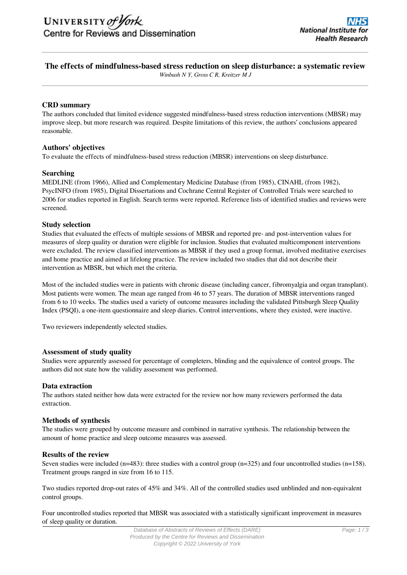## **The effects of mindfulness-based stress reduction on sleep disturbance: a systematic review**

*Winbush N Y, Gross C R, Kreitzer M J*

## **CRD summary**

The authors concluded that limited evidence suggested mindfulness-based stress reduction interventions (MBSR) may improve sleep, but more research was required. Despite limitations of this review, the authors' conclusions appeared reasonable.

## **Authors' objectives**

To evaluate the effects of mindfulness-based stress reduction (MBSR) interventions on sleep disturbance.

## **Searching**

MEDLINE (from 1966), Allied and Complementary Medicine Database (from 1985), CINAHL (from 1982), PsycINFO (from 1985), Digital Dissertations and Cochrane Central Register of Controlled Trials were searched to 2006 for studies reported in English. Search terms were reported. Reference lists of identified studies and reviews were screened.

## **Study selection**

Studies that evaluated the effects of multiple sessions of MBSR and reported pre- and post-intervention values for measures of sleep quality or duration were eligible for inclusion. Studies that evaluated multicomponent interventions were excluded. The review classified interventions as MBSR if they used a group format, involved meditative exercises and home practice and aimed at lifelong practice. The review included two studies that did not describe their intervention as MBSR, but which met the criteria.

Most of the included studies were in patients with chronic disease (including cancer, fibromyalgia and organ transplant). Most patients were women. The mean age ranged from 46 to 57 years. The duration of MBSR interventions ranged from 6 to 10 weeks. The studies used a variety of outcome measures including the validated Pittsburgh Sleep Quality Index (PSQI), a one-item questionnaire and sleep diaries. Control interventions, where they existed, were inactive.

Two reviewers independently selected studies.

## **Assessment of study quality**

Studies were apparently assessed for percentage of completers, blinding and the equivalence of control groups. The authors did not state how the validity assessment was performed.

## **Data extraction**

The authors stated neither how data were extracted for the review nor how many reviewers performed the data extraction.

## **Methods of synthesis**

The studies were grouped by outcome measure and combined in narrative synthesis. The relationship between the amount of home practice and sleep outcome measures was assessed.

## **Results of the review**

Seven studies were included (n=483): three studies with a control group (n=325) and four uncontrolled studies (n=158). Treatment groups ranged in size from 16 to 115.

Two studies reported drop-out rates of 45% and 34%. All of the controlled studies used unblinded and non-equivalent control groups.

Four uncontrolled studies reported that MBSR was associated with a statistically significant improvement in measures of sleep quality or duration.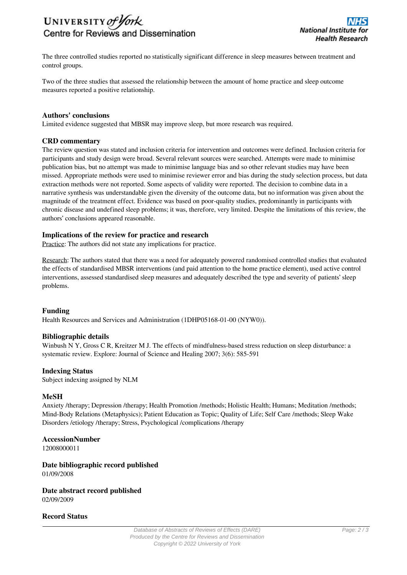

The three controlled studies reported no statistically significant difference in sleep measures between treatment and control groups.

Two of the three studies that assessed the relationship between the amount of home practice and sleep outcome measures reported a positive relationship.

#### **Authors' conclusions**

Limited evidence suggested that MBSR may improve sleep, but more research was required.

#### **CRD commentary**

The review question was stated and inclusion criteria for intervention and outcomes were defined. Inclusion criteria for participants and study design were broad. Several relevant sources were searched. Attempts were made to minimise publication bias, but no attempt was made to minimise language bias and so other relevant studies may have been missed. Appropriate methods were used to minimise reviewer error and bias during the study selection process, but data extraction methods were not reported. Some aspects of validity were reported. The decision to combine data in a narrative synthesis was understandable given the diversity of the outcome data, but no information was given about the magnitude of the treatment effect. Evidence was based on poor-quality studies, predominantly in participants with chronic disease and undefined sleep problems; it was, therefore, very limited. Despite the limitations of this review, the authors' conclusions appeared reasonable.

#### **Implications of the review for practice and research**

Practice: The authors did not state any implications for practice.

Research: The authors stated that there was a need for adequately powered randomised controlled studies that evaluated the effects of standardised MBSR interventions (and paid attention to the home practice element), used active control interventions, assessed standardised sleep measures and adequately described the type and severity of patients' sleep problems.

## **Funding**

Health Resources and Services and Administration (1DHP05168-01-00 (NYW0)).

#### **Bibliographic details**

Winbush N Y, Gross C R, Kreitzer M J. The effects of mindfulness-based stress reduction on sleep disturbance: a systematic review. Explore: Journal of Science and Healing 2007; 3(6): 585-591

#### **Indexing Status**

Subject indexing assigned by NLM

## **MeSH**

Anxiety /therapy; Depression /therapy; Health Promotion /methods; Holistic Health; Humans; Meditation /methods; Mind-Body Relations (Metaphysics); Patient Education as Topic; Quality of Life; Self Care /methods; Sleep Wake Disorders /etiology /therapy; Stress, Psychological /complications /therapy

## **AccessionNumber**

12008000011

# **Date bibliographic record published**

01/09/2008

**Date abstract record published** 02/09/2009

## **Record Status**